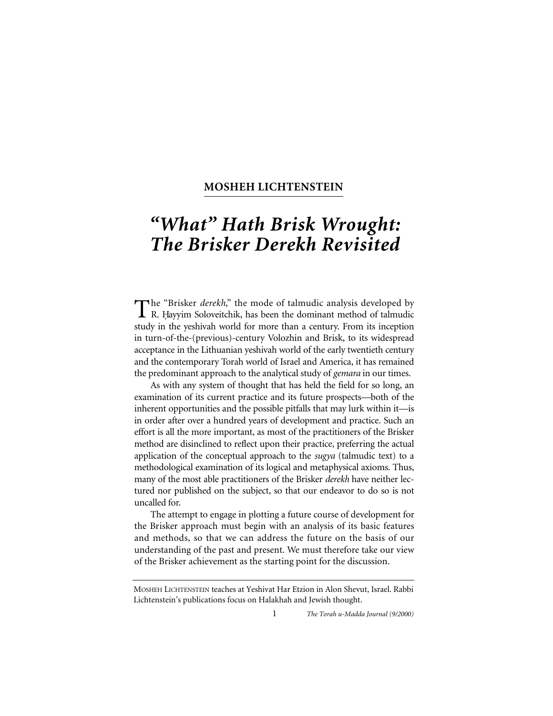## **MOSHEH LICHTENSTEIN**

## *"What" Hath Brisk Wrought: The Brisker Derekh Revisited*

The "Brisker *derekh*," the mode of talmudic analysis developed by R. Hayyim Soloveitchik, has been the dominant method of talmudic study in the yeshivah world for more than a century. From its inception in turn-of-the-(previous)-century Volozhin and Brisk, to its widespread acceptance in the Lithuanian yeshivah world of the early twentieth century and the contemporary Torah world of Israel and America, it has remained the predominant approach to the analytical study of *gemara* in our times.

As with any system of thought that has held the field for so long, an examination of its current practice and its future prospects—both of the inherent opportunities and the possible pitfalls that may lurk within it—is in order after over a hundred years of development and practice. Such an effort is all the more important, as most of the practitioners of the Brisker method are disinclined to reflect upon their practice, preferring the actual application of the conceptual approach to the *sugya* (talmudic text) to a methodological examination of its logical and metaphysical axioms. Thus, many of the most able practitioners of the Brisker *derekh* have neither lectured nor published on the subject, so that our endeavor to do so is not uncalled for.

The attempt to engage in plotting a future course of development for the Brisker approach must begin with an analysis of its basic features and methods, so that we can address the future on the basis of our understanding of the past and present. We must therefore take our view of the Brisker achievement as the starting point for the discussion.

1 *The Torah u-Madda Journal (9/2000)*

MOSHEH LICHTENSTEIN teaches at Yeshivat Har Etzion in Alon Shevut, Israel. Rabbi Lichtenstein's publications focus on Halakhah and Jewish thought.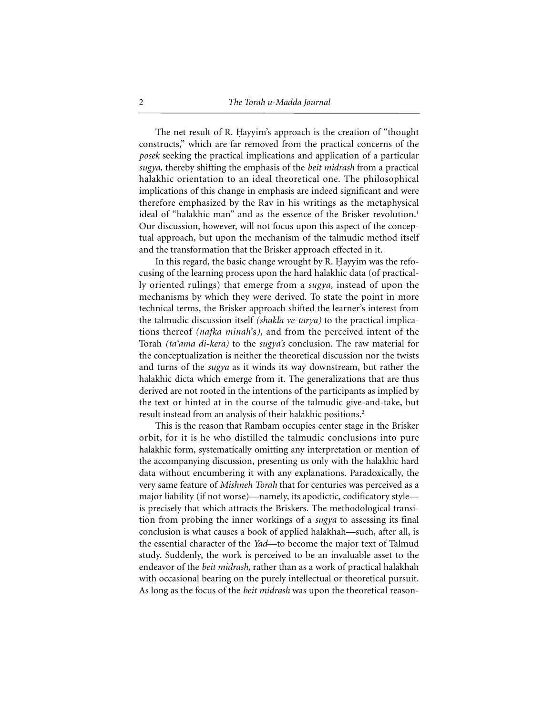The net result of R. Hayyim's approach is the creation of "thought" constructs," which are far removed from the practical concerns of the *posek* seeking the practical implications and application of a particular *sugya,* thereby shifting the emphasis of the *beit midrash* from a practical halakhic orientation to an ideal theoretical one. The philosophical implications of this change in emphasis are indeed significant and were therefore emphasized by the Rav in his writings as the metaphysical ideal of "halakhic man" and as the essence of the Brisker revolution.<sup>1</sup> Our discussion, however, will not focus upon this aspect of the conceptual approach, but upon the mechanism of the talmudic method itself and the transformation that the Brisker approach effected in it.

In this regard, the basic change wrought by R. Hayyim was the refocusing of the learning process upon the hard halakhic data (of practically oriented rulings) that emerge from a *sugya,* instead of upon the mechanisms by which they were derived. To state the point in more technical terms, the Brisker approach shifted the learner's interest from the talmudic discussion itself *(shakla ve-tarya)* to the practical implications thereof *(nafka minah*'s*),* and from the perceived intent of the Torah *(ta'ama di-kera)* to the *sugya's* conclusion. The raw material for the conceptualization is neither the theoretical discussion nor the twists and turns of the *sugya* as it winds its way downstream, but rather the halakhic dicta which emerge from it. The generalizations that are thus derived are not rooted in the intentions of the participants as implied by the text or hinted at in the course of the talmudic give-and-take, but result instead from an analysis of their halakhic positions.2

This is the reason that Rambam occupies center stage in the Brisker orbit, for it is he who distilled the talmudic conclusions into pure halakhic form, systematically omitting any interpretation or mention of the accompanying discussion, presenting us only with the halakhic hard data without encumbering it with any explanations. Paradoxically, the very same feature of *Mishneh Torah* that for centuries was perceived as a major liability (if not worse)—namely, its apodictic, codificatory style is precisely that which attracts the Briskers. The methodological transition from probing the inner workings of a *sugya* to assessing its final conclusion is what causes a book of applied halakhah—such, after all, is the essential character of the *Yad*—to become the major text of Talmud study. Suddenly, the work is perceived to be an invaluable asset to the endeavor of the *beit midrash,* rather than as a work of practical halakhah with occasional bearing on the purely intellectual or theoretical pursuit. As long as the focus of the *beit midrash* was upon the theoretical reason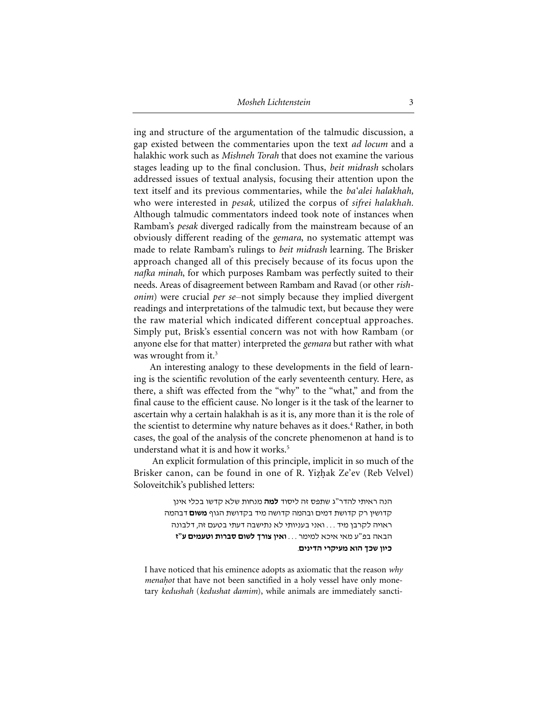ing and structure of the argumentation of the talmudic discussion, a gap existed between the commentaries upon the text *ad locum* and a halakhic work such as *Mishneh Torah* that does not examine the various stages leading up to the final conclusion. Thus, *beit midrash* scholars addressed issues of textual analysis, focusing their attention upon the text itself and its previous commentaries, while the *ba*'*alei halakhah,* who were interested in *pesak,* utilized the corpus of *sifrei halakhah.* Although talmudic commentators indeed took note of instances when Rambam's *pesak* diverged radically from the mainstream because of an obviously different reading of the *gemara*, no systematic attempt was made to relate Rambam's rulings to *beit midrash* learning. The Brisker approach changed all of this precisely because of its focus upon the *nafka minah*, for which purposes Rambam was perfectly suited to their needs. Areas of disagreement between Rambam and Ravad (or other *rishonim*) were crucial *per se—*not simply because they implied divergent readings and interpretations of the talmudic text, but because they were the raw material which indicated different conceptual approaches. Simply put, Brisk's essential concern was not with how Rambam (or anyone else for that matter) interpreted the *gemara* but rather with what was wrought from it. $3$ 

An interesting analogy to these developments in the field of learning is the scientific revolution of the early seventeenth century. Here, as there, a shift was effected from the "why" to the "what," and from the final cause to the efficient cause. No longer is it the task of the learner to ascertain why a certain halakhah is as it is, any more than it is the role of the scientist to determine why nature behaves as it does.<sup>4</sup> Rather, in both cases, the goal of the analysis of the concrete phenomenon at hand is to understand what it is and how it works.<sup>5</sup>

An explicit formulation of this principle, implicit in so much of the Brisker canon, can be found in one of R. Yizhak Ze'ev (Reb Velvel) Soloveitchik's published letters:

> הנה ראיתי להדר"ג שתפס זה ליסוד **למה** מנחות שלא קדשו בכלי אינן קדושין רק קדושת דמים ובהמה קדושה מיד בקדושת הגוף **משום** דבהמה ראויה לקרבן מיד . . . ואני בעניותי לא נתישבה דעתי בטעם זה, דלבונה הבאה בפ<sup>יי</sup>ע מאי איכא למימר ... **ואין צורך לשום סברות וטעמים ע"ז כיון שכך הוא מעיקרי הדינים**.

I have noticed that his eminence adopts as axiomatic that the reason *why menahot* that have not been sanctified in a holy vessel have only monetary *kedushah* (*kedushat damim*), while animals are immediately sancti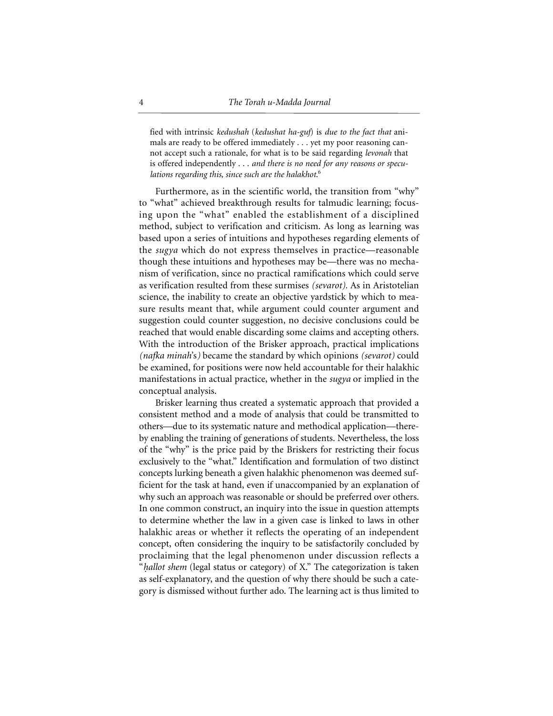fied with intrinsic *kedushah* (*kedushat ha-guf*) is *due to the fact that* animals are ready to be offered immediately . . . yet my poor reasoning cannot accept such a rationale, for what is to be said regarding *levonah* that is offered independently . . . *and there is no need for any reasons or speculations regarding this, since such are the halakhot*. 6

Furthermore, as in the scientific world, the transition from "why" to "what" achieved breakthrough results for talmudic learning; focusing upon the "what" enabled the establishment of a disciplined method, subject to verification and criticism. As long as learning was based upon a series of intuitions and hypotheses regarding elements of the *sugya* which do not express themselves in practice—reasonable though these intuitions and hypotheses may be—there was no mechanism of verification, since no practical ramifications which could serve as verification resulted from these surmises *(sevarot).* As in Aristotelian science, the inability to create an objective yardstick by which to measure results meant that, while argument could counter argument and suggestion could counter suggestion, no decisive conclusions could be reached that would enable discarding some claims and accepting others. With the introduction of the Brisker approach, practical implications *(nafka minah*'s*)* became the standard by which opinions *(sevarot)* could be examined, for positions were now held accountable for their halakhic manifestations in actual practice, whether in the *sugya* or implied in the conceptual analysis.

Brisker learning thus created a systematic approach that provided a consistent method and a mode of analysis that could be transmitted to others—due to its systematic nature and methodical application—thereby enabling the training of generations of students. Nevertheless, the loss of the "why" is the price paid by the Briskers for restricting their focus exclusively to the "what." Identification and formulation of two distinct concepts lurking beneath a given halakhic phenomenon was deemed sufficient for the task at hand, even if unaccompanied by an explanation of why such an approach was reasonable or should be preferred over others. In one common construct, an inquiry into the issue in question attempts to determine whether the law in a given case is linked to laws in other halakhic areas or whether it reflects the operating of an independent concept, often considering the inquiry to be satisfactorily concluded by proclaiming that the legal phenomenon under discussion reflects a "*hallot shem* (legal status or category) of X." The categorization is taken as self-explanatory, and the question of why there should be such a category is dismissed without further ado. The learning act is thus limited to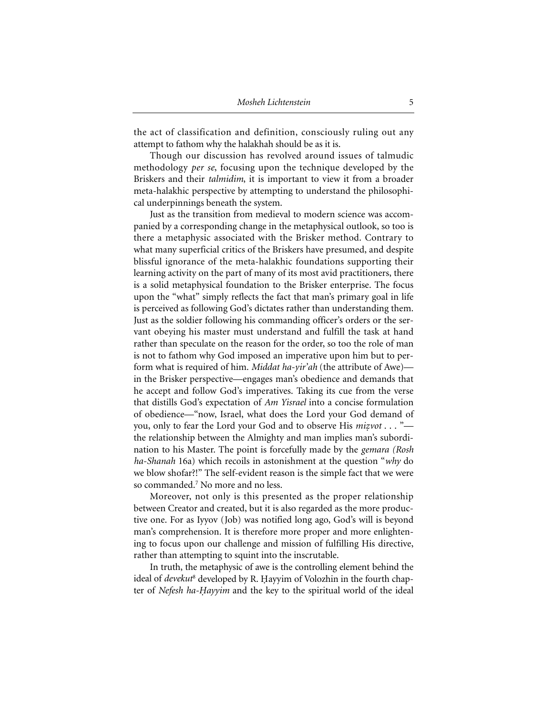the act of classification and definition, consciously ruling out any attempt to fathom why the halakhah should be as it is.

Though our discussion has revolved around issues of talmudic methodology *per se*, focusing upon the technique developed by the Briskers and their *talmidim*, it is important to view it from a broader meta-halakhic perspective by attempting to understand the philosophical underpinnings beneath the system.

Just as the transition from medieval to modern science was accompanied by a corresponding change in the metaphysical outlook, so too is there a metaphysic associated with the Brisker method. Contrary to what many superficial critics of the Briskers have presumed, and despite blissful ignorance of the meta-halakhic foundations supporting their learning activity on the part of many of its most avid practitioners, there is a solid metaphysical foundation to the Brisker enterprise. The focus upon the "what" simply reflects the fact that man's primary goal in life is perceived as following God's dictates rather than understanding them. Just as the soldier following his commanding officer's orders or the servant obeying his master must understand and fulfill the task at hand rather than speculate on the reason for the order, so too the role of man is not to fathom why God imposed an imperative upon him but to perform what is required of him. *Middat ha-yir'ah* (the attribute of Awe) in the Brisker perspective—engages man's obedience and demands that he accept and follow God's imperatives. Taking its cue from the verse that distills God's expectation of *Am Yisrael* into a concise formulation of obedience—"now, Israel, what does the Lord your God demand of you, only to fear the Lord your God and to observe His *mizvot* . . . " the relationship between the Almighty and man implies man's subordination to his Master. The point is forcefully made by the *gemara (Rosh ha-Shanah* 16a) which recoils in astonishment at the question "*why* do we blow shofar?!" The self-evident reason is the simple fact that we were so commanded.7 No more and no less.

Moreover, not only is this presented as the proper relationship between Creator and created, but it is also regarded as the more productive one. For as Iyyov (Job) was notified long ago, God's will is beyond man's comprehension. It is therefore more proper and more enlightening to focus upon our challenge and mission of fulfilling His directive, rather than attempting to squint into the inscrutable.

In truth, the metaphysic of awe is the controlling element behind the ideal of *devekut*<sup>8</sup> developed by R. Hayyim of Volozhin in the fourth chapter of *Nefesh ha-Hayyim* and the key to the spiritual world of the ideal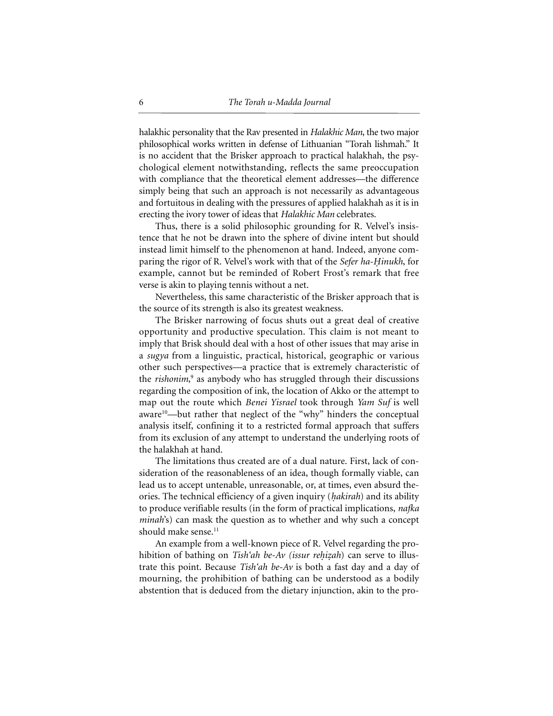halakhic personality that the Rav presented in *Halakhic Man*, the two major philosophical works written in defense of Lithuanian "Torah lishmah." It is no accident that the Brisker approach to practical halakhah, the psychological element notwithstanding, reflects the same preoccupation with compliance that the theoretical element addresses—the difference simply being that such an approach is not necessarily as advantageous and fortuitous in dealing with the pressures of applied halakhah as it is in erecting the ivory tower of ideas that *Halakhic Man* celebrates.

Thus, there is a solid philosophic grounding for R. Velvel's insistence that he not be drawn into the sphere of divine intent but should instead limit himself to the phenomenon at hand. Indeed, anyone comparing the rigor of R. Velvel's work with that of the *Sefer ha-H. inukh*, for example, cannot but be reminded of Robert Frost's remark that free verse is akin to playing tennis without a net.

Nevertheless, this same characteristic of the Brisker approach that is the source of its strength is also its greatest weakness.

The Brisker narrowing of focus shuts out a great deal of creative opportunity and productive speculation. This claim is not meant to imply that Brisk should deal with a host of other issues that may arise in a *sugya* from a linguistic, practical, historical, geographic or various other such perspectives—a practice that is extremely characteristic of the *rishonim*, <sup>9</sup> as anybody who has struggled through their discussions regarding the composition of ink, the location of Akko or the attempt to map out the route which *Benei Yisrael* took through *Yam Suf* is well aware<sup>10</sup>—but rather that neglect of the "why" hinders the conceptual analysis itself, confining it to a restricted formal approach that suffers from its exclusion of any attempt to understand the underlying roots of the halakhah at hand.

The limitations thus created are of a dual nature. First, lack of consideration of the reasonableness of an idea, though formally viable, can lead us to accept untenable, unreasonable, or, at times, even absurd theories. The technical efficiency of a given inquiry (*h. akirah*) and its ability to produce verifiable results (in the form of practical implications, *nafka minah*'s) can mask the question as to whether and why such a concept should make sense.<sup>11</sup>

An example from a well-known piece of R. Velvel regarding the prohibition of bathing on *Tish'ah be-Av (issur rehizah)* can serve to illustrate this point. Because *Tish'ah be-Av* is both a fast day and a day of mourning, the prohibition of bathing can be understood as a bodily abstention that is deduced from the dietary injunction, akin to the pro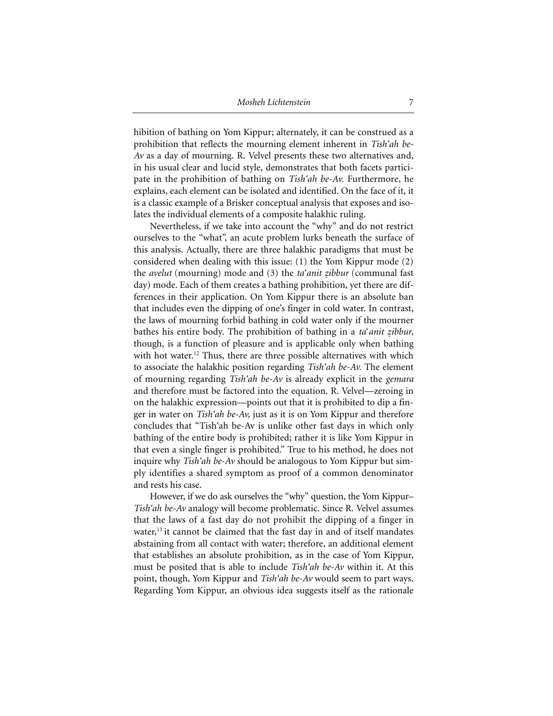hibition of bathing on Yom Kippur; alternately, it can be construed as a prohibition that reflects the mourning element inherent in *Tish'ah be-Av* as a day of mourning. R. Velvel presents these two alternatives and, in his usual clear and lucid style, demonstrates that both facets participate in the prohibition of bathing on *Tish'ah be-Av.* Furthermore, he explains, each element can be isolated and identified. On the face of it, it is a classic example of a Brisker conceptual analysis that exposes and isolates the individual elements of a composite halakhic ruling.

Nevertheless, if we take into account the "why" and do not restrict ourselves to the "what", an acute problem lurks beneath the surface of this analysis. Actually, there are three halakhic paradigms that must be considered when dealing with this issue: (1) the Yom Kippur mode (2) the *avelut* (mourning) mode and (3) the *ta*'*anit z.ibbur* (communal fast day) mode. Each of them creates a bathing prohibition, yet there are differences in their application. On Yom Kippur there is an absolute ban that includes even the dipping of one's finger in cold water. In contrast, the laws of mourning forbid bathing in cold water only if the mourner bathes his entire body. The prohibition of bathing in a *ta*'*anit z.ibbur,* though, is a function of pleasure and is applicable only when bathing with hot water.<sup>12</sup> Thus, there are three possible alternatives with which to associate the halakhic position regarding *Tish'ah be-Av.* The element of mourning regarding *Tish'ah be-Av* is already explicit in the *gemara* and therefore must be factored into the equation. R. Velvel—zeroing in on the halakhic expression—points out that it is prohibited to dip a finger in water on *Tish'ah be-Av,* just as it is on Yom Kippur and therefore concludes that "Tish'ah be-Av is unlike other fast days in which only bathing of the entire body is prohibited; rather it is like Yom Kippur in that even a single finger is prohibited." True to his method, he does not inquire why *Tish'ah be-Av* should be analogous to Yom Kippur but simply identifies a shared symptom as proof of a common denominator and rests his case.

However, if we do ask ourselves the "why" question, the Yom Kippur– *Tish'ah be-Av* analogy will become problematic. Since R. Velvel assumes that the laws of a fast day do not prohibit the dipping of a finger in water,<sup>13</sup> it cannot be claimed that the fast day in and of itself mandates abstaining from all contact with water; therefore, an additional element that establishes an absolute prohibition, as in the case of Yom Kippur, must be posited that is able to include *Tish'ah be-Av* within it. At this point, though, Yom Kippur and *Tish'ah be-Av* would seem to part ways. Regarding Yom Kippur, an obvious idea suggests itself as the rationale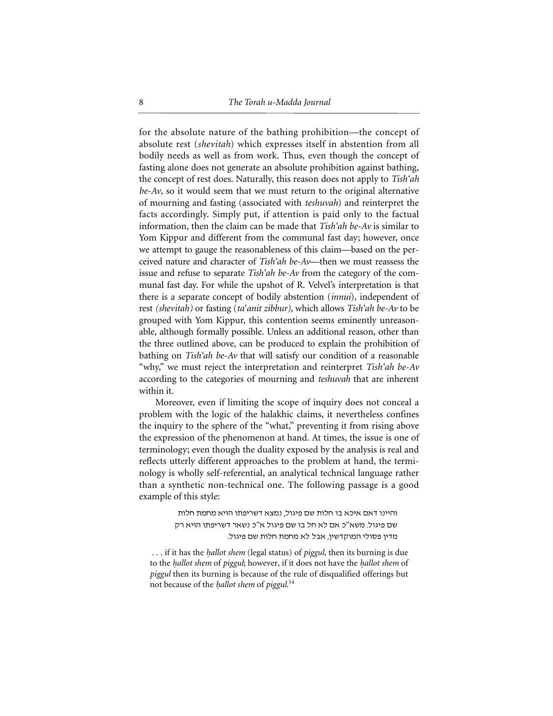for the absolute nature of the bathing prohibition—the concept of absolute rest (*shevitah*) which expresses itself in abstention from all bodily needs as well as from work. Thus, even though the concept of fasting alone does not generate an absolute prohibition against bathing, the concept of rest does. Naturally, this reason does not apply to *Tish'ah be-Av*, so it would seem that we must return to the original alternative of mourning and fasting (associated with *teshuvah*) and reinterpret the facts accordingly. Simply put, if attention is paid only to the factual information, then the claim can be made that *Tish'ah be-Av* is similar to Yom Kippur and different from the communal fast day; however, once we attempt to gauge the reasonableness of this claim—based on the perceived nature and character of *Tish'ah be-Av*—then we must reassess the issue and refuse to separate *Tish'ah be-Av* from the category of the communal fast day. For while the upshot of R. Velvel's interpretation is that there is a separate concept of bodily abstention (*innui*)*,* independent of rest *(shevitah)* or fasting (*ta*'*anit zibbur),* which allows *Tish'ah be-Av* to be grouped with Yom Kippur, this contention seems eminently unreasonable, although formally possible. Unless an additional reason, other than the three outlined above, can be produced to explain the prohibition of bathing on *Tish'ah be-Av* that will satisfy our condition of a reasonable "why," we must reject the interpretation and reinterpret *Tish'ah be-Av* according to the categories of mourning and *teshuvah* that are inherent within it.

Moreover, even if limiting the scope of inquiry does not conceal a problem with the logic of the halakhic claims, it nevertheless confines the inquiry to the sphere of the "what," preventing it from rising above the expression of the phenomenon at hand. At times, the issue is one of terminology; even though the duality exposed by the analysis is real and reflects utterly different approaches to the problem at hand, the terminology is wholly self-referential, an analytical technical language rather than a synthetic non-technical one. The following passage is a good example of this style:

> והיינו דאם איכא בו חלות שם פיגול, נמצא דשריפתו הויא מחמת חלות שם פיגול. משא"כ אם לא חל בו שם פיגול א"כ נשאר דשריפתו הויא רק מדין פסולי המוקדשין, אבל לא מחמת חלות שם פיגול.

. . . if it has the *h. allot shem* (legal status) of *piggul*, then its burning is due to the *h. allot shem* of *piggul*; however, if it does not have the *h. allot shem* of *piggul* then its burning is because of the rule of disqualified offerings but not because of the *h. allot shem* of *piggul*. 14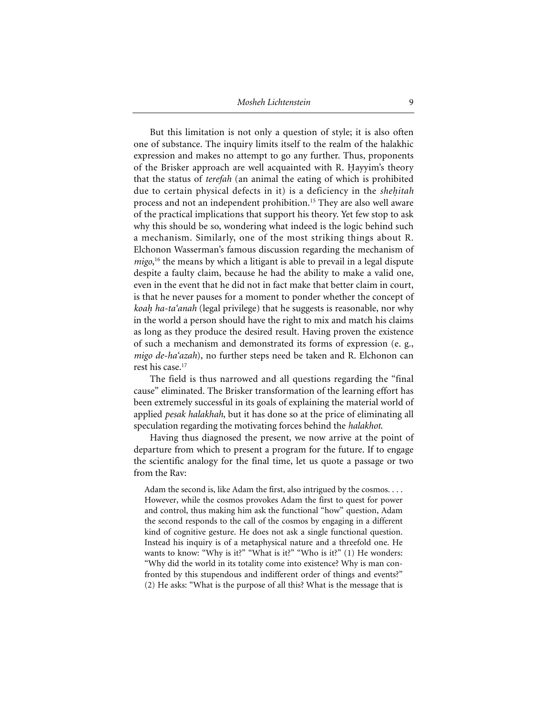But this limitation is not only a question of style; it is also often one of substance. The inquiry limits itself to the realm of the halakhic expression and makes no attempt to go any further. Thus, proponents of the Brisker approach are well acquainted with R. Hayyim's theory that the status of *terefah* (an animal the eating of which is prohibited due to certain physical defects in it) is a deficiency in the *shehitah* process and not an independent prohibition.15 They are also well aware of the practical implications that support his theory. Yet few stop to ask why this should be so, wondering what indeed is the logic behind such a mechanism. Similarly, one of the most striking things about R. Elchonon Wasserman's famous discussion regarding the mechanism of *migo*, <sup>16</sup> the means by which a litigant is able to prevail in a legal dispute despite a faulty claim, because he had the ability to make a valid one, even in the event that he did not in fact make that better claim in court, is that he never pauses for a moment to ponder whether the concept of *koah. ha-ta'anah* (legal privilege) that he suggests is reasonable, nor why in the world a person should have the right to mix and match his claims as long as they produce the desired result. Having proven the existence of such a mechanism and demonstrated its forms of expression (e. g., *migo de-ha'azah*), no further steps need be taken and R. Elchonon can rest his case.<sup>17</sup>

The field is thus narrowed and all questions regarding the "final cause" eliminated. The Brisker transformation of the learning effort has been extremely successful in its goals of explaining the material world of applied *pesak halakhah*, but it has done so at the price of eliminating all speculation regarding the motivating forces behind the *halakhot*.

Having thus diagnosed the present, we now arrive at the point of departure from which to present a program for the future. If to engage the scientific analogy for the final time, let us quote a passage or two from the Rav:

Adam the second is, like Adam the first, also intrigued by the cosmos. . . . However, while the cosmos provokes Adam the first to quest for power and control, thus making him ask the functional "how" question, Adam the second responds to the call of the cosmos by engaging in a different kind of cognitive gesture. He does not ask a single functional question. Instead his inquiry is of a metaphysical nature and a threefold one. He wants to know: "Why is it?" "What is it?" "Who is it?" (1) He wonders: "Why did the world in its totality come into existence? Why is man confronted by this stupendous and indifferent order of things and events?" (2) He asks: "What is the purpose of all this? What is the message that is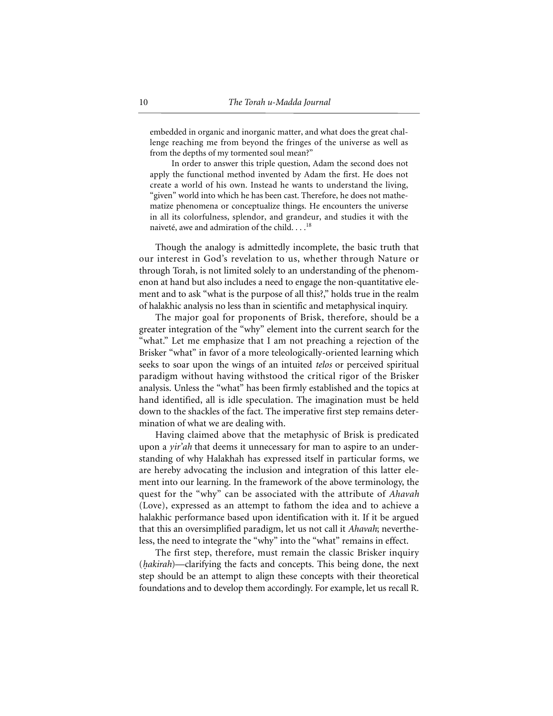embedded in organic and inorganic matter, and what does the great challenge reaching me from beyond the fringes of the universe as well as from the depths of my tormented soul mean?"

In order to answer this triple question, Adam the second does not apply the functional method invented by Adam the first. He does not create a world of his own. Instead he wants to understand the living, "given" world into which he has been cast. Therefore, he does not mathematize phenomena or conceptualize things. He encounters the universe in all its colorfulness, splendor, and grandeur, and studies it with the naiveté, awe and admiration of the child. . . .<sup>18</sup>

Though the analogy is admittedly incomplete, the basic truth that our interest in God's revelation to us, whether through Nature or through Torah, is not limited solely to an understanding of the phenomenon at hand but also includes a need to engage the non-quantitative element and to ask "what is the purpose of all this?," holds true in the realm of halakhic analysis no less than in scientific and metaphysical inquiry.

The major goal for proponents of Brisk, therefore, should be a greater integration of the "why" element into the current search for the "what." Let me emphasize that I am not preaching a rejection of the Brisker "what" in favor of a more teleologically-oriented learning which seeks to soar upon the wings of an intuited *telos* or perceived spiritual paradigm without having withstood the critical rigor of the Brisker analysis. Unless the "what" has been firmly established and the topics at hand identified, all is idle speculation. The imagination must be held down to the shackles of the fact. The imperative first step remains determination of what we are dealing with.

Having claimed above that the metaphysic of Brisk is predicated upon a *yir'ah* that deems it unnecessary for man to aspire to an understanding of why Halakhah has expressed itself in particular forms, we are hereby advocating the inclusion and integration of this latter element into our learning. In the framework of the above terminology, the quest for the "why" can be associated with the attribute of *Ahavah* (Love), expressed as an attempt to fathom the idea and to achieve a halakhic performance based upon identification with it. If it be argued that this an oversimplified paradigm, let us not call it *Ahavah*; nevertheless, the need to integrate the "why" into the "what" remains in effect.

The first step, therefore, must remain the classic Brisker inquiry (*hakirah*)—clarifying the facts and concepts. This being done, the next step should be an attempt to align these concepts with their theoretical foundations and to develop them accordingly. For example, let us recall R.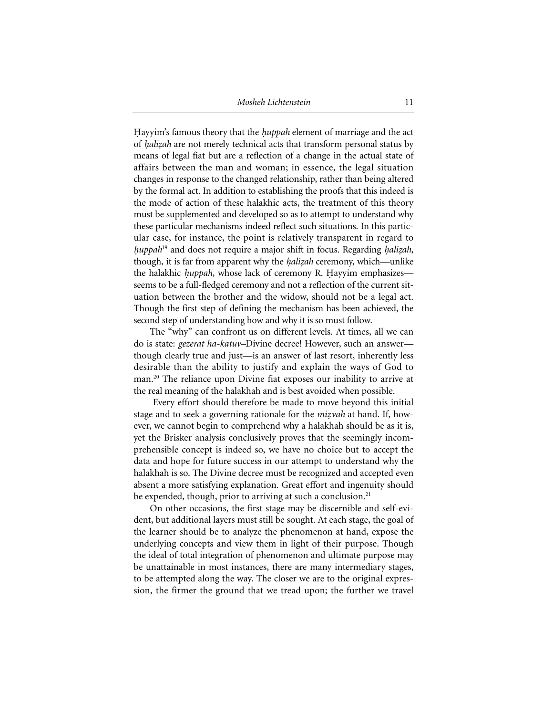Hayyim's famous theory that the *huppah* element of marriage and the act of *halizah* are not merely technical acts that transform personal status by means of legal fiat but are a reflection of a change in the actual state of affairs between the man and woman; in essence, the legal situation changes in response to the changed relationship, rather than being altered by the formal act. In addition to establishing the proofs that this indeed is the mode of action of these halakhic acts, the treatment of this theory must be supplemented and developed so as to attempt to understand why these particular mechanisms indeed reflect such situations. In this particular case, for instance, the point is relatively transparent in regard to *huppah*<sup>19</sup> and does not require a major shift in focus. Regarding *halizah*, though, it is far from apparent why the *halizah* ceremony, which—unlike the halakhic *huppah*, whose lack of ceremony R. Hayyim emphasizes seems to be a full-fledged ceremony and not a reflection of the current situation between the brother and the widow, should not be a legal act. Though the first step of defining the mechanism has been achieved, the second step of understanding how and why it is so must follow.

The "why" can confront us on different levels. At times, all we can do is state: *gezerat ha-katuv–*Divine decree! However, such an answer though clearly true and just—is an answer of last resort, inherently less desirable than the ability to justify and explain the ways of God to man.20 The reliance upon Divine fiat exposes our inability to arrive at the real meaning of the halakhah and is best avoided when possible.

Every effort should therefore be made to move beyond this initial stage and to seek a governing rationale for the *mizvah* at hand. If, however, we cannot begin to comprehend why a halakhah should be as it is, yet the Brisker analysis conclusively proves that the seemingly incomprehensible concept is indeed so, we have no choice but to accept the data and hope for future success in our attempt to understand why the halakhah is so. The Divine decree must be recognized and accepted even absent a more satisfying explanation. Great effort and ingenuity should be expended, though, prior to arriving at such a conclusion.<sup>21</sup>

On other occasions, the first stage may be discernible and self-evident, but additional layers must still be sought. At each stage, the goal of the learner should be to analyze the phenomenon at hand, expose the underlying concepts and view them in light of their purpose. Though the ideal of total integration of phenomenon and ultimate purpose may be unattainable in most instances, there are many intermediary stages, to be attempted along the way. The closer we are to the original expression, the firmer the ground that we tread upon; the further we travel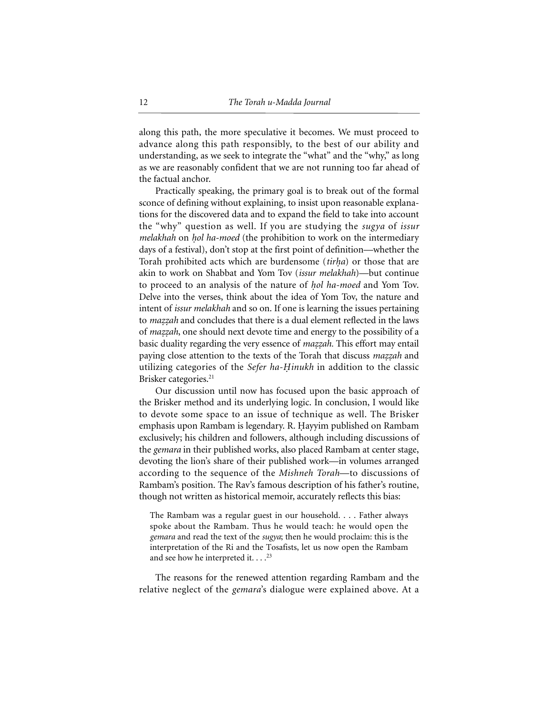along this path, the more speculative it becomes. We must proceed to advance along this path responsibly, to the best of our ability and understanding, as we seek to integrate the "what" and the "why," as long as we are reasonably confident that we are not running too far ahead of the factual anchor.

Practically speaking, the primary goal is to break out of the formal sconce of defining without explaining, to insist upon reasonable explanations for the discovered data and to expand the field to take into account the "why" question as well. If you are studying the *sugya* of *issur melakhah* on *hol ha-moed* (the prohibition to work on the intermediary days of a festival), don't stop at the first point of definition—whether the Torah prohibited acts which are burdensome (*tirha*) or those that are akin to work on Shabbat and Yom Tov (*issur melakhah*)—but continue to proceed to an analysis of the nature of *hol ha-moed* and Yom Tov. Delve into the verses, think about the idea of Yom Tov, the nature and intent of *issur melakhah* and so on. If one is learning the issues pertaining to *mazzah* and concludes that there is a dual element reflected in the laws of *maz.z.ah*, one should next devote time and energy to the possibility of a basic duality regarding the very essence of *mazzah*. This effort may entail paying close attention to the texts of the Torah that discuss *mazzah* and utilizing categories of the *Sefer ha-Hinukh* in addition to the classic Brisker categories.<sup>21</sup>

Our discussion until now has focused upon the basic approach of the Brisker method and its underlying logic. In conclusion, I would like to devote some space to an issue of technique as well. The Brisker emphasis upon Rambam is legendary. R. Hayyim published on Rambam exclusively; his children and followers, although including discussions of the *gemara* in their published works, also placed Rambam at center stage, devoting the lion's share of their published work—in volumes arranged according to the sequence of the *Mishneh Torah*—to discussions of Rambam's position. The Rav's famous description of his father's routine, though not written as historical memoir, accurately reflects this bias:

The Rambam was a regular guest in our household. . . . Father always spoke about the Rambam. Thus he would teach: he would open the *gemara* and read the text of the *sugya*; then he would proclaim: this is the interpretation of the Ri and the Tosafists, let us now open the Rambam and see how he interpreted it.  $\ldots$ <sup>23</sup>

The reasons for the renewed attention regarding Rambam and the relative neglect of the *gemara*'s dialogue were explained above. At a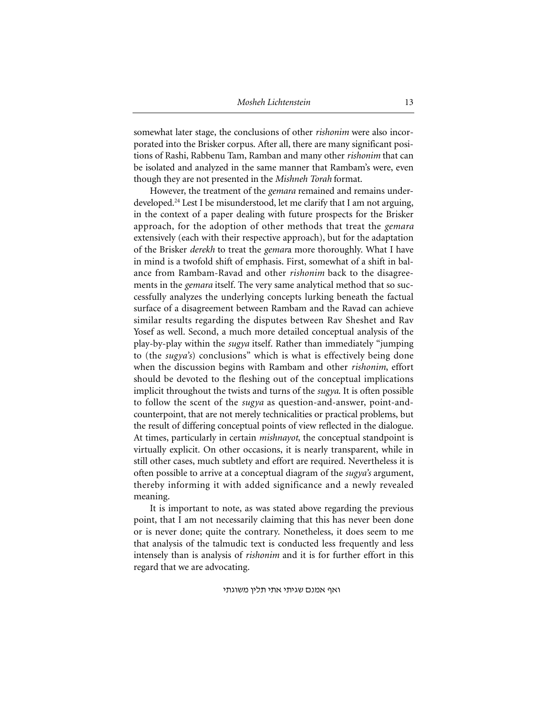somewhat later stage, the conclusions of other *rishonim* were also incorporated into the Brisker corpus. After all, there are many significant positions of Rashi, Rabbenu Tam, Ramban and many other *rishonim* that can be isolated and analyzed in the same manner that Rambam's were, even though they are not presented in the *Mishneh Torah* format.

However, the treatment of the *gemara* remained and remains underdeveloped.24 Lest I be misunderstood, let me clarify that I am not arguing, in the context of a paper dealing with future prospects for the Brisker approach, for the adoption of other methods that treat the *gemara* extensively (each with their respective approach), but for the adaptation of the Brisker *derekh* to treat the *gemar*a more thoroughly. What I have in mind is a twofold shift of emphasis. First, somewhat of a shift in balance from Rambam-Ravad and other *rishonim* back to the disagreements in the *gemara* itself. The very same analytical method that so successfully analyzes the underlying concepts lurking beneath the factual surface of a disagreement between Rambam and the Ravad can achieve similar results regarding the disputes between Rav Sheshet and Rav Yosef as well. Second, a much more detailed conceptual analysis of the play-by-play within the *sugya* itself. Rather than immediately "jumping to (the *sugya's*) conclusions" which is what is effectively being done when the discussion begins with Rambam and other *rishonim*, effort should be devoted to the fleshing out of the conceptual implications implicit throughout the twists and turns of the *sugya*. It is often possible to follow the scent of the *sugya* as question-and-answer, point-andcounterpoint, that are not merely technicalities or practical problems, but the result of differing conceptual points of view reflected in the dialogue. At times, particularly in certain *mishnayot*, the conceptual standpoint is virtually explicit. On other occasions, it is nearly transparent, while in still other cases, much subtlety and effort are required. Nevertheless it is often possible to arrive at a conceptual diagram of the *sugya's* argument, thereby informing it with added significance and a newly revealed meaning.

It is important to note, as was stated above regarding the previous point, that I am not necessarily claiming that this has never been done or is never done; quite the contrary. Nonetheless, it does seem to me that analysis of the talmudic text is conducted less frequently and less intensely than is analysis of *rishonim* and it is for further effort in this regard that we are advocating.

ואף אמנם שגיתי אתי תלין משוגתי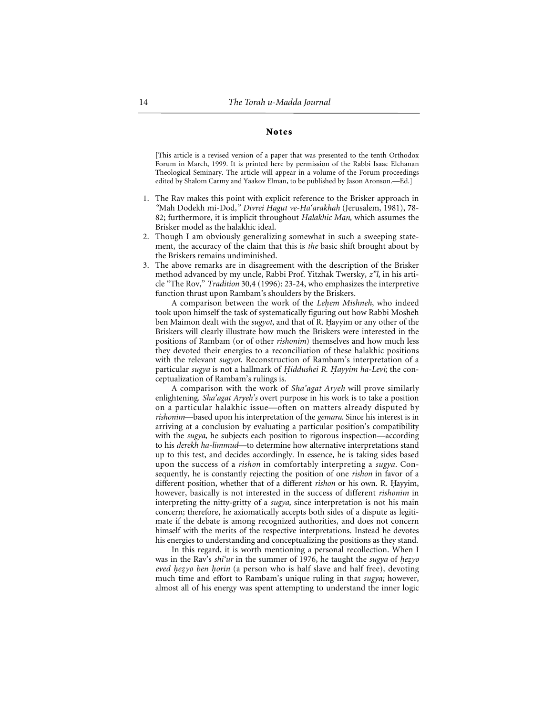## **Notes**

[This article is a revised version of a paper that was presented to the tenth Orthodox Forum in March, 1999. It is printed here by permission of the Rabbi Isaac Elchanan Theological Seminary. The article will appear in a volume of the Forum proceedings edited by Shalom Carmy and Yaakov Elman, to be published by Jason Aronson.—Ed.]

- 1. The Rav makes this point with explicit reference to the Brisker approach in *"*Mah Dodekh mi-Dod*," Divrei Hagut ve-Ha'arakhah* (Jerusalem, 1981), 78- 82; furthermore, it is implicit throughout *Halakhic Man,* which assumes the Brisker model as the halakhic ideal.
- 2. Though I am obviously generalizing somewhat in such a sweeping statement, the accuracy of the claim that this is *the* basic shift brought about by the Briskers remains undiminished.
- 3. The above remarks are in disagreement with the description of the Brisker method advanced by my uncle, Rabbi Prof. Yitzhak Twersky, *z"l*, in his article "The Rov," *Tradition* 30,4 (1996): 23-24, who emphasizes the interpretive function thrust upon Rambam's shoulders by the Briskers.

A comparison between the work of the *Lehem Mishneh*, who indeed took upon himself the task of systematically figuring out how Rabbi Mosheh ben Maimon dealt with the *sugyot*, and that of R. Hayyim or any other of the Briskers will clearly illustrate how much the Briskers were interested in the positions of Rambam (or of other *rishonim*) themselves and how much less they devoted their energies to a reconciliation of these halakhic positions with the relevant *sugyot*. Reconstruction of Rambam's interpretation of a particular *sugya* is not a hallmark of *H. iddushei R. H. ayyim ha-Levi*; the conceptualization of Rambam's rulings is.

A comparison with the work of *Sha'agat Aryeh* will prove similarly enlightening. *Sha'agat Aryeh's* overt purpose in his work is to take a position on a particular halakhic issue—often on matters already disputed by *rishonim*—based upon his interpretation of the *gemara*. Since his interest is in arriving at a conclusion by evaluating a particular position's compatibility with the *sugya,* he subjects each position to rigorous inspection—according to his *derekh ha-limmud*—to determine how alternative interpretations stand up to this test, and decides accordingly. In essence, he is taking sides based upon the success of a *rishon* in comfortably interpreting a *sugya.* Consequently, he is constantly rejecting the position of one *rishon* in favor of a different position, whether that of a different *rishon* or his own. R. Hayyim, however, basically is not interested in the success of different *rishonim* in interpreting the nitty-gritty of a *sugya,* since interpretation is not his main concern; therefore, he axiomatically accepts both sides of a dispute as legitimate if the debate is among recognized authorities, and does not concern himself with the merits of the respective interpretations. Instead he devotes his energies to understanding and conceptualizing the positions as they stand.

In this regard, it is worth mentioning a personal recollection. When I was in the Rav's *shi'ur* in the summer of 1976, he taught the *sugya* of *hezyo eved hezyo ben horin* (a person who is half slave and half free), devoting much time and effort to Rambam's unique ruling in that *sugya;* however, almost all of his energy was spent attempting to understand the inner logic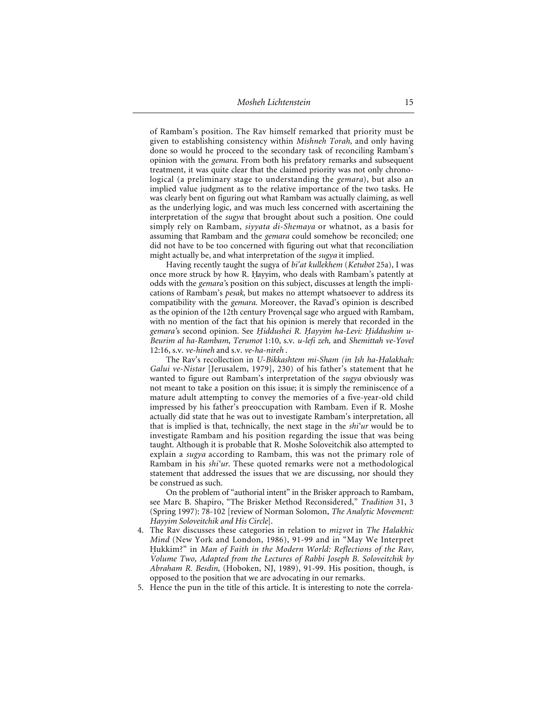of Rambam's position. The Rav himself remarked that priority must be given to establishing consistency within *Mishneh Torah,* and only having done so would he proceed to the secondary task of reconciling Rambam's opinion with the *gemara.* From both his prefatory remarks and subsequent treatment, it was quite clear that the claimed priority was not only chronological (a preliminary stage to understanding the *gemara*), but also an implied value judgment as to the relative importance of the two tasks. He was clearly bent on figuring out what Rambam was actually claiming, as well as the underlying logic, and was much less concerned with ascertaining the interpretation of the *sugya* that brought about such a position. One could simply rely on Rambam, *siyyata di-Shemaya* or whatnot, as a basis for assuming that Rambam and the *gemara* could somehow be reconciled; one did not have to be too concerned with figuring out what that reconciliation might actually be, and what interpretation of the *sugya* it implied.

Having recently taught the sugya of *bi'at kullekhem* (*Ketubot* 25a), I was once more struck by how R. Hayyim, who deals with Rambam's patently at odds with the *gemara'*s position on this subject, discusses at length the implications of Rambam's *pesak*, but makes no attempt whatsoever to address its compatibility with the *gemara*. Moreover, the Ravad's opinion is described as the opinion of the 12th century Provençal sage who argued with Rambam, with no mention of the fact that his opinion is merely that recorded in the *gemara'*s second opinion. See *H. iddushei R. H. ayyim ha-Levi: H. iddushim u-Beurim al ha-Rambam*, *Terumot* 1:10, s.v. *u-lefi zeh,* and *Shemittah ve-Yovel* 12:16, s.v. *ve-hineh* and s.v. *ve-ha-nireh* .

The Rav's recollection in *U-Bikkashtem mi-Sham (in Ish ha-Halakhah: Galui ve-Nistar* [Jerusalem, 1979], 230) of his father's statement that he wanted to figure out Rambam's interpretation of the *sugya* obviously was not meant to take a position on this issue; it is simply the reminiscence of a mature adult attempting to convey the memories of a five-year-old child impressed by his father's preoccupation with Rambam. Even if R. Moshe actually did state that he was out to investigate Rambam's interpretation, all that is implied is that, technically, the next stage in the *shi*'*ur* would be to investigate Rambam and his position regarding the issue that was being taught. Although it is probable that R. Moshe Soloveitchik also attempted to explain a *sugya* according to Rambam, this was not the primary role of Rambam in his *shi*'*ur*. These quoted remarks were not a methodological statement that addressed the issues that we are discussing, nor should they be construed as such.

On the problem of "authorial intent" in the Brisker approach to Rambam, see Marc B. Shapiro, "The Brisker Method Reconsidered," *Tradition* 31, 3 (Spring 1997): 78-102 [review of Norman Solomon, *The Analytic Movement: Hayyim Soloveitchik and His Circle*].

- 4. The Rav discusses these categories in relation to *miz. vot* in *The Halakhic Mind* (New York and London, 1986), 91-99 and in "May We Interpret Hukkim?" in *Man of Faith in the Modern World: Reflections of the Rav*, *Volume Two, Adapted from the Lectures of Rabbi Joseph B. Soloveitchik by Abraham R. Besdin*, (Hoboken, NJ, 1989), 91-99. His position, though, is opposed to the position that we are advocating in our remarks.
- 5. Hence the pun in the title of this article. It is interesting to note the correla-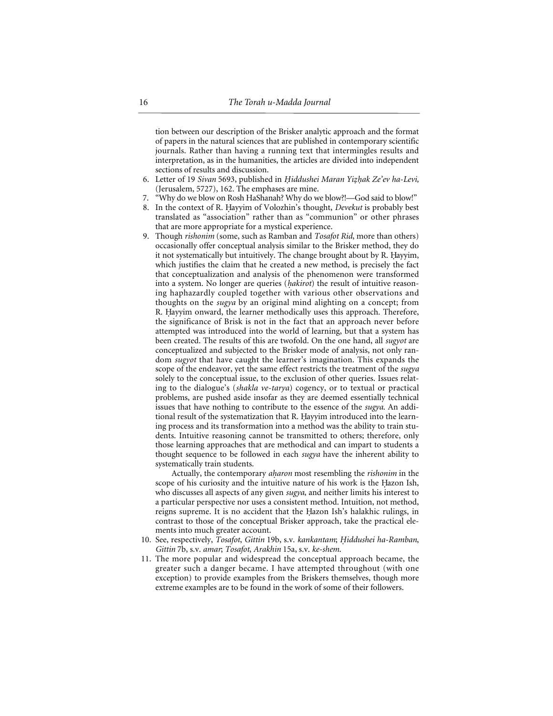tion between our description of the Brisker analytic approach and the format of papers in the natural sciences that are published in contemporary scientific journals. Rather than having a running text that intermingles results and interpretation, as in the humanities, the articles are divided into independent sections of results and discussion.

- 6. Letter of 19 *Sivan* 5693, published in *H. iddushei Maran Yiz. h. ak Ze'ev ha-Levi,* (Jerusalem, 5727), 162. The emphases are mine.
- 7. "Why do we blow on Rosh HaShanah? Why do we blow?!—God said to blow!"
- 8. In the context of R. Hayyim of Volozhin's thought, *Devekut* is probably best translated as "association" rather than as "communion" or other phrases that are more appropriate for a mystical experience.
- 9. Though *rishonim* (some, such as Ramban and *Tosafot Rid*, more than others) occasionally offer conceptual analysis similar to the Brisker method, they do it not systematically but intuitively. The change brought about by R. Hayyim, which justifies the claim that he created a new method, is precisely the fact that conceptualization and analysis of the phenomenon were transformed into a system. No longer are queries (*hakirot*) the result of intuitive reasoning haphazardly coupled together with various other observations and thoughts on the *sugya* by an original mind alighting on a concept; from R. Hayyim onward, the learner methodically uses this approach. Therefore, the significance of Brisk is not in the fact that an approach never before attempted was introduced into the world of learning, but that a system has been created. The results of this are twofold. On the one hand, all *sugyot* are conceptualized and subjected to the Brisker mode of analysis, not only random *sugyot* that have caught the learner's imagination. This expands the scope of the endeavor, yet the same effect restricts the treatment of the *sugya* solely to the conceptual issue, to the exclusion of other queries. Issues relating to the dialogue's (*shakla ve-tarya*) cogency, or to textual or practical problems, are pushed aside insofar as they are deemed essentially technical issues that have nothing to contribute to the essence of the *sugya*. An additional result of the systematization that R. Hayyim introduced into the learning process and its transformation into a method was the ability to train students. Intuitive reasoning cannot be transmitted to others; therefore, only those learning approaches that are methodical and can impart to students a thought sequence to be followed in each *sugya* have the inherent ability to systematically train students.

Actually, the contemporary *aharon* most resembling the *rishonim* in the scope of his curiosity and the intuitive nature of his work is the Hazon Ish, who discusses all aspects of any given *sugya*, and neither limits his interest to a particular perspective nor uses a consistent method. Intuition, not method, reigns supreme. It is no accident that the Hazon Ish's halakhic rulings, in contrast to those of the conceptual Brisker approach, take the practical elements into much greater account.

- 10. See, respectively, *Tosafot*, *Gittin* 19b, s.v. *kankantam*; *H. iddushei ha-Ramban*, *Gittin* 7b, s.v. *amar*; *Tosafot*, *Arakhin* 15a, s.v. *ke-shem*.
- 11. The more popular and widespread the conceptual approach became, the greater such a danger became. I have attempted throughout (with one exception) to provide examples from the Briskers themselves, though more extreme examples are to be found in the work of some of their followers.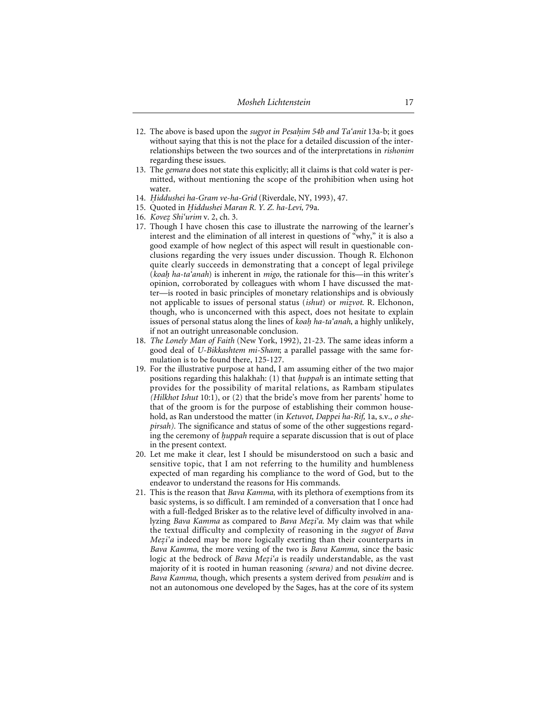- 12. The above is based upon the *sugyot in Pesah. im 54b and Ta'anit* 13a-b; it goes without saying that this is not the place for a detailed discussion of the interrelationships between the two sources and of the interpretations in *rishonim* regarding these issues.
- 13. The *gemara* does not state this explicitly; all it claims is that cold water is permitted, without mentioning the scope of the prohibition when using hot water.
- 14. *H. iddushei ha-Gram ve-ha-Grid* (Riverdale, NY, 1993), 47.
- 15. Quoted in *H. iddushei Maran R. Y. Z. ha-Levi,* 79a.
- 16. *Kovez. Shi'urim* v. 2, ch. 3.
- 17. Though I have chosen this case to illustrate the narrowing of the learner's interest and the elimination of all interest in questions of "why," it is also a good example of how neglect of this aspect will result in questionable conclusions regarding the very issues under discussion. Though R. Elchonon quite clearly succeeds in demonstrating that a concept of legal privilege (*koah. ha-ta'anah*) is inherent in *migo*, the rationale for this—in this writer's opinion, corroborated by colleagues with whom I have discussed the matter—is rooted in basic principles of monetary relationships and is obviously not applicable to issues of personal status *(ishut)* or *mizvot*. R. Elchonon, though, who is unconcerned with this aspect, does not hesitate to explain issues of personal status along the lines of *koah. ha-ta'anah*, a highly unlikely, if not an outright unreasonable conclusion.
- 18. *The Lonely Man of Faith* (New York, 1992), 21-23. The same ideas inform a good deal of *U-Bikkashtem mi-Sham*; a parallel passage with the same formulation is to be found there, 125-127.
- 19. For the illustrative purpose at hand, I am assuming either of the two major positions regarding this halakhah: (1) that *huppah* is an intimate setting that provides for the possibility of marital relations, as Rambam stipulates *(Hilkhot Ishut* 10:1), or (2) that the bride's move from her parents' home to that of the groom is for the purpose of establishing their common household, as Ran understood the matter (in *Ketuvot, Dappei ha-Rif,* 1a, s.v.*, o shepirsah).* The significance and status of some of the other suggestions regarding the ceremony of *huppah* require a separate discussion that is out of place in the present context.
- 20. Let me make it clear, lest I should be misunderstood on such a basic and sensitive topic, that I am not referring to the humility and humbleness expected of man regarding his compliance to the word of God, but to the endeavor to understand the reasons for His commands.
- 21. This is the reason that *Bava Kamma,* with its plethora of exemptions from its basic systems, is so difficult. I am reminded of a conversation that I once had with a full-fledged Brisker as to the relative level of difficulty involved in analyzing *Bava Kamma* as compared to *Bava Mez. i'a.* My claim was that while the textual difficulty and complexity of reasoning in the *sugyot* of *Bava Mezi'a* indeed may be more logically exerting than their counterparts in *Bava Kamma,* the more vexing of the two is *Bava Kamma,* since the basic logic at the bedrock of *Bava Mezi'a* is readily understandable, as the vast majority of it is rooted in human reasoning *(sevara)* and not divine decree. *Bava Kamma*, though, which presents a system derived from *pesukim* and is not an autonomous one developed by the Sages, has at the core of its system